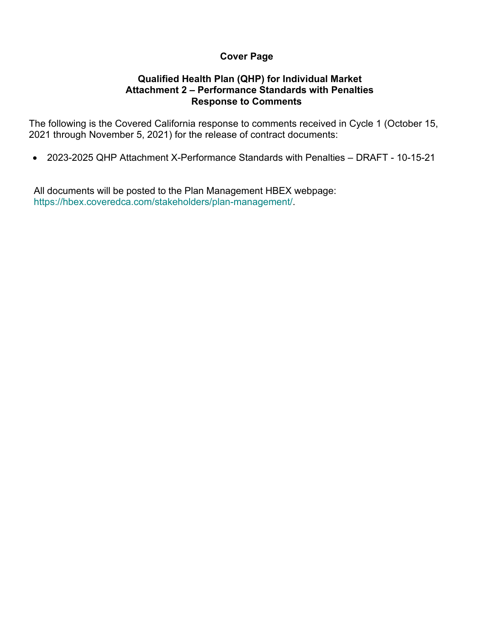# **Cover Page**

# **Qualified Health Plan (QHP) for Individual Market Attachment 2 – Performance Standards with Penalties Response to Comments**

The following is the Covered California response to comments received in Cycle 1 (October 15, 2021 through November 5, 2021) for the release of contract documents:

• 2023-2025 QHP Attachment X-Performance Standards with Penalties – DRAFT - 10-15-21

All documents will be posted to the Plan Management HBEX webpage: https://hbex.coveredca.com/stakeholders/plan-management/.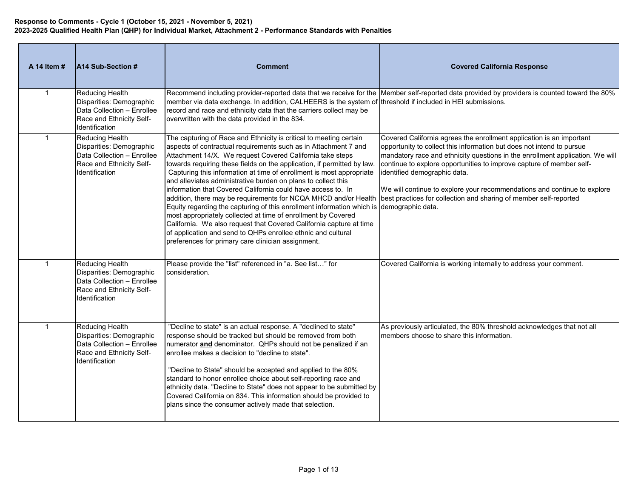| A 14 Item #    | A14 Sub-Section #                                                                                                              | <b>Comment</b>                                                                                                                                                                                                                                                                                                                                                                                                                                                                                                                                                                                                                                                                                                                                                                                                                                                                                                      | <b>Covered California Response</b>                                                                                                                                                                                                                                                                                                                                                                                                                                                      |
|----------------|--------------------------------------------------------------------------------------------------------------------------------|---------------------------------------------------------------------------------------------------------------------------------------------------------------------------------------------------------------------------------------------------------------------------------------------------------------------------------------------------------------------------------------------------------------------------------------------------------------------------------------------------------------------------------------------------------------------------------------------------------------------------------------------------------------------------------------------------------------------------------------------------------------------------------------------------------------------------------------------------------------------------------------------------------------------|-----------------------------------------------------------------------------------------------------------------------------------------------------------------------------------------------------------------------------------------------------------------------------------------------------------------------------------------------------------------------------------------------------------------------------------------------------------------------------------------|
| $\overline{1}$ | <b>Reducing Health</b><br>Disparities: Demographic<br>Data Collection - Enrollee<br>Race and Ethnicity Self-<br>Identification | member via data exchange. In addition, CALHEERS is the system of threshold if included in HEI submissions.<br>record and race and ethnicity data that the carriers collect may be<br>overwritten with the data provided in the 834.                                                                                                                                                                                                                                                                                                                                                                                                                                                                                                                                                                                                                                                                                 | Recommend including provider-reported data that we receive for the Member self-reported data provided by providers is counted toward the 80%                                                                                                                                                                                                                                                                                                                                            |
| $\overline{1}$ | <b>Reducing Health</b><br>Disparities: Demographic<br>Data Collection - Enrollee<br>Race and Ethnicity Self-<br>Identification | The capturing of Race and Ethnicity is critical to meeting certain<br>aspects of contractual requirements such as in Attachment 7 and<br>Attachment 14/X. We request Covered California take steps<br>towards requiring these fields on the application, if permitted by law.<br>Capturing this information at time of enrollment is most appropriate<br>and alleviates administrative burden on plans to collect this<br>information that Covered California could have access to. In<br>addition, there may be requirements for NCQA MHCD and/or Health<br>Equity regarding the capturing of this enrollment information which is demographic data.<br>most appropriately collected at time of enrollment by Covered<br>California. We also request that Covered California capture at time<br>of application and send to QHPs enrollee ethnic and cultural<br>preferences for primary care clinician assignment. | Covered California agrees the enrollment application is an important<br>opportunity to collect this information but does not intend to pursue<br>mandatory race and ethnicity questions in the enrollment application. We will<br>continue to explore opportunities to improve capture of member self-<br>identified demographic data.<br>We will continue to explore your recommendations and continue to explore<br>best practices for collection and sharing of member self-reported |
| -1             | <b>Reducing Health</b><br>Disparities: Demographic<br>Data Collection - Enrollee<br>Race and Ethnicity Self-<br>Identification | Please provide the "list" referenced in "a. See list" for<br>consideration.                                                                                                                                                                                                                                                                                                                                                                                                                                                                                                                                                                                                                                                                                                                                                                                                                                         | Covered California is working internally to address your comment.                                                                                                                                                                                                                                                                                                                                                                                                                       |
| $\overline{1}$ | <b>Reducing Health</b><br>Disparities: Demographic<br>Data Collection - Enrollee<br>Race and Ethnicity Self-<br>Identification | "Decline to state" is an actual response. A "declined to state"<br>response should be tracked but should be removed from both<br>numerator and denominator. QHPs should not be penalized if an<br>enrollee makes a decision to "decline to state".<br>"Decline to State" should be accepted and applied to the 80%<br>standard to honor enrollee choice about self-reporting race and<br>ethnicity data. "Decline to State" does not appear to be submitted by<br>Covered California on 834. This information should be provided to<br>plans since the consumer actively made that selection.                                                                                                                                                                                                                                                                                                                       | As previously articulated, the 80% threshold acknowledges that not all<br>members choose to share this information.                                                                                                                                                                                                                                                                                                                                                                     |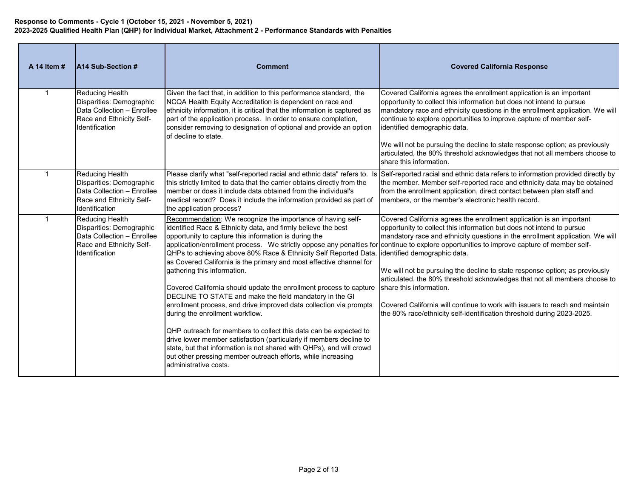| A 14 Item # | <b>A14 Sub-Section #</b>                                                                                                       | <b>Comment</b>                                                                                                                                                                                                                                                                                                                                                                                                                                                                                                                                                                                                                                                                                                                                                                                                                                                                                                                                                                                                                                                    | <b>Covered California Response</b>                                                                                                                                                                                                                                                                                                                                                                                                                                                                                                                                                                              |
|-------------|--------------------------------------------------------------------------------------------------------------------------------|-------------------------------------------------------------------------------------------------------------------------------------------------------------------------------------------------------------------------------------------------------------------------------------------------------------------------------------------------------------------------------------------------------------------------------------------------------------------------------------------------------------------------------------------------------------------------------------------------------------------------------------------------------------------------------------------------------------------------------------------------------------------------------------------------------------------------------------------------------------------------------------------------------------------------------------------------------------------------------------------------------------------------------------------------------------------|-----------------------------------------------------------------------------------------------------------------------------------------------------------------------------------------------------------------------------------------------------------------------------------------------------------------------------------------------------------------------------------------------------------------------------------------------------------------------------------------------------------------------------------------------------------------------------------------------------------------|
|             | Reducing Health<br>Disparities: Demographic<br>Data Collection - Enrollee<br>Race and Ethnicity Self-<br>Identification        | Given the fact that, in addition to this performance standard, the<br>NCQA Health Equity Accreditation is dependent on race and<br>ethnicity information, it is critical that the information is captured as<br>part of the application process. In order to ensure completion,<br>consider removing to designation of optional and provide an option<br>of decline to state.                                                                                                                                                                                                                                                                                                                                                                                                                                                                                                                                                                                                                                                                                     | Covered California agrees the enrollment application is an important<br>opportunity to collect this information but does not intend to pursue<br>mandatory race and ethnicity questions in the enrollment application. We will<br>continue to explore opportunities to improve capture of member self-<br>identified demographic data.<br>We will not be pursuing the decline to state response option; as previously<br>articulated, the 80% threshold acknowledges that not all members choose to<br>share this information.                                                                                  |
|             | <b>Reducing Health</b><br>Disparities: Demographic<br>Data Collection - Enrollee<br>Race and Ethnicity Self-<br>Identification | this strictly limited to data that the carrier obtains directly from the<br>member or does it include data obtained from the individual's<br>medical record? Does it include the information provided as part of<br>the application process?                                                                                                                                                                                                                                                                                                                                                                                                                                                                                                                                                                                                                                                                                                                                                                                                                      | Please clarify what "self-reported racial and ethnic data" refers to. Is Self-reported racial and ethnic data refers to information provided directly by<br>the member. Member self-reported race and ethnicity data may be obtained<br>from the enrollment application, direct contact between plan staff and<br>members, or the member's electronic health record.                                                                                                                                                                                                                                            |
| $\mathbf 1$ | <b>Reducing Health</b><br>Disparities: Demographic<br>Data Collection - Enrollee<br>Race and Ethnicity Self-<br>Identification | Recommendation: We recognize the importance of having self-<br>identified Race & Ethnicity data, and firmly believe the best<br>opportunity to capture this information is during the<br>application/enrollment process. We strictly oppose any penalties for continue to explore opportunities to improve capture of member self-<br>QHPs to achieving above 80% Race & Ethnicity Self Reported Data<br>as Covered California is the primary and most effective channel for<br>gathering this information.<br>Covered California should update the enrollment process to capture<br>DECLINE TO STATE and make the field mandatory in the GI<br>enrollment process, and drive improved data collection via prompts<br>during the enrollment workflow.<br>QHP outreach for members to collect this data can be expected to<br>drive lower member satisfaction (particularly if members decline to<br>state, but that information is not shared with QHPs), and will crowd<br>out other pressing member outreach efforts, while increasing<br>administrative costs. | Covered California agrees the enrollment application is an important<br>opportunity to collect this information but does not intend to pursue<br>mandatory race and ethnicity questions in the enrollment application. We will<br>identified demographic data.<br>We will not be pursuing the decline to state response option; as previously<br>articulated, the 80% threshold acknowledges that not all members choose to<br>share this information.<br>Covered California will continue to work with issuers to reach and maintain<br>the 80% race/ethnicity self-identification threshold during 2023-2025. |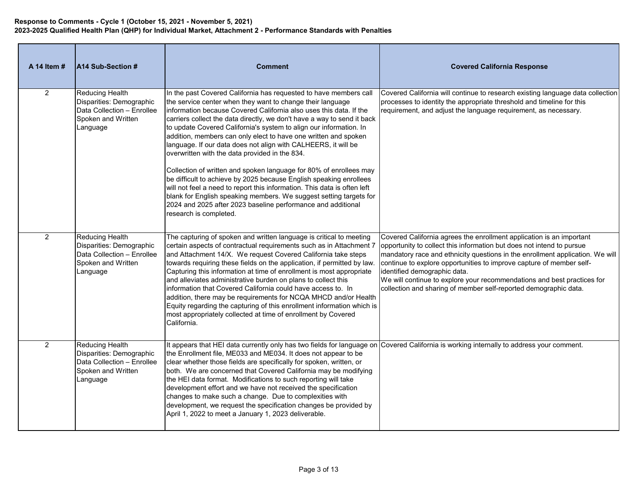| A 14 Item #    | A14 Sub-Section #                                                                                                  | <b>Comment</b>                                                                                                                                                                                                                                                                                                                                                                                                                                                                                                                                                                                                                                                                                                               | <b>Covered California Response</b>                                                                                                                                                                                                                                                                                                                                                                                                                                                    |
|----------------|--------------------------------------------------------------------------------------------------------------------|------------------------------------------------------------------------------------------------------------------------------------------------------------------------------------------------------------------------------------------------------------------------------------------------------------------------------------------------------------------------------------------------------------------------------------------------------------------------------------------------------------------------------------------------------------------------------------------------------------------------------------------------------------------------------------------------------------------------------|---------------------------------------------------------------------------------------------------------------------------------------------------------------------------------------------------------------------------------------------------------------------------------------------------------------------------------------------------------------------------------------------------------------------------------------------------------------------------------------|
| $\overline{2}$ | <b>Reducing Health</b><br>Disparities: Demographic<br>Data Collection - Enrollee<br>Spoken and Written<br>Language | In the past Covered California has requested to have members call<br>the service center when they want to change their language<br>information because Covered California also uses this data. If the<br>carriers collect the data directly, we don't have a way to send it back<br>to update Covered California's system to align our information. In<br>addition, members can only elect to have one written and spoken<br>language. If our data does not align with CALHEERS, it will be<br>overwritten with the data provided in the 834.<br>Collection of written and spoken language for 80% of enrollees may                                                                                                          | Covered California will continue to research existing language data collection<br>processes to identity the appropriate threshold and timeline for this<br>requirement, and adjust the language requirement, as necessary.                                                                                                                                                                                                                                                            |
|                |                                                                                                                    | be difficult to achieve by 2025 because English speaking enrollees<br>will not feel a need to report this information. This data is often left<br>blank for English speaking members. We suggest setting targets for<br>2024 and 2025 after 2023 baseline performance and additional<br>research is completed.                                                                                                                                                                                                                                                                                                                                                                                                               |                                                                                                                                                                                                                                                                                                                                                                                                                                                                                       |
| 2              | <b>Reducing Health</b><br>Disparities: Demographic<br>Data Collection - Enrollee<br>Spoken and Written<br>Language | The capturing of spoken and written language is critical to meeting<br>certain aspects of contractual requirements such as in Attachment 7<br>and Attachment 14/X. We request Covered California take steps<br>towards requiring these fields on the application, if permitted by law.<br>Capturing this information at time of enrollment is most appropriate<br>and alleviates administrative burden on plans to collect this<br>information that Covered California could have access to. In<br>addition, there may be requirements for NCQA MHCD and/or Health<br>Equity regarding the capturing of this enrollment information which is<br>most appropriately collected at time of enrollment by Covered<br>California. | Covered California agrees the enrollment application is an important<br>opportunity to collect this information but does not intend to pursue<br>mandatory race and ethnicity questions in the enrollment application. We will<br>continue to explore opportunities to improve capture of member self-<br>identified demographic data.<br>We will continue to explore your recommendations and best practices for<br>collection and sharing of member self-reported demographic data. |
| 2              | <b>Reducing Health</b><br>Disparities: Demographic<br>Data Collection - Enrollee<br>Spoken and Written<br>Language | It appears that HEI data currently only has two fields for language on Covered California is working internally to address your comment.<br>the Enrollment file, ME033 and ME034. It does not appear to be<br>clear whether those fields are specifically for spoken, written, or<br>both. We are concerned that Covered California may be modifying<br>the HEI data format. Modifications to such reporting will take<br>development effort and we have not received the specification<br>changes to make such a change. Due to complexities with<br>development, we request the specification changes be provided by<br>April 1, 2022 to meet a January 1, 2023 deliverable.                                               |                                                                                                                                                                                                                                                                                                                                                                                                                                                                                       |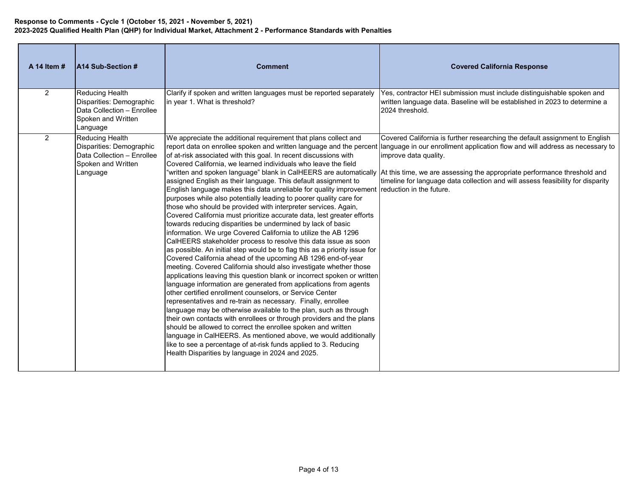| A 14 Item # | <b>A14 Sub-Section #</b>                                                                                           | <b>Comment</b>                                                                                                                                                                                                                                                                                                                                                                                                                                                                                                                                                                                                                                                                                                                                                                                                                                                                                                                                                                                                                                                                                                                                                                                                                                                                                                                                                                                                                                                                                                                                                                                                                                                                                     | <b>Covered California Response</b>                                                                                                                                                                                                                                                                                                                                                                                                                                                         |
|-------------|--------------------------------------------------------------------------------------------------------------------|----------------------------------------------------------------------------------------------------------------------------------------------------------------------------------------------------------------------------------------------------------------------------------------------------------------------------------------------------------------------------------------------------------------------------------------------------------------------------------------------------------------------------------------------------------------------------------------------------------------------------------------------------------------------------------------------------------------------------------------------------------------------------------------------------------------------------------------------------------------------------------------------------------------------------------------------------------------------------------------------------------------------------------------------------------------------------------------------------------------------------------------------------------------------------------------------------------------------------------------------------------------------------------------------------------------------------------------------------------------------------------------------------------------------------------------------------------------------------------------------------------------------------------------------------------------------------------------------------------------------------------------------------------------------------------------------------|--------------------------------------------------------------------------------------------------------------------------------------------------------------------------------------------------------------------------------------------------------------------------------------------------------------------------------------------------------------------------------------------------------------------------------------------------------------------------------------------|
| 2           | Reducing Health<br>Disparities: Demographic<br>Data Collection - Enrollee<br>Spoken and Written<br>Language        | Clarify if spoken and written languages must be reported separately<br>in year 1. What is threshold?                                                                                                                                                                                                                                                                                                                                                                                                                                                                                                                                                                                                                                                                                                                                                                                                                                                                                                                                                                                                                                                                                                                                                                                                                                                                                                                                                                                                                                                                                                                                                                                               | Yes, contractor HEI submission must include distinguishable spoken and<br>written language data. Baseline will be established in 2023 to determine a<br>2024 threshold.                                                                                                                                                                                                                                                                                                                    |
| 2           | <b>Reducing Health</b><br>Disparities: Demographic<br>Data Collection - Enrollee<br>Spoken and Written<br>Language | We appreciate the additional requirement that plans collect and<br>of at-risk associated with this goal. In recent discussions with<br>Covered California, we learned individuals who leave the field<br>assigned English as their language. This default assignment to<br>English language makes this data unreliable for quality improvement reduction in the future.<br>purposes while also potentially leading to poorer quality care for<br>those who should be provided with interpreter services. Again,<br>Covered California must prioritize accurate data, lest greater efforts<br>towards reducing disparities be undermined by lack of basic<br>information. We urge Covered California to utilize the AB 1296<br>CalHEERS stakeholder process to resolve this data issue as soon<br>as possible. An initial step would be to flag this as a priority issue for<br>Covered California ahead of the upcoming AB 1296 end-of-year<br>meeting. Covered California should also investigate whether those<br>applications leaving this question blank or incorrect spoken or written<br>language information are generated from applications from agents<br>other certified enrollment counselors, or Service Center<br>representatives and re-train as necessary. Finally, enrollee<br>language may be otherwise available to the plan, such as through<br>their own contacts with enrollees or through providers and the plans<br>should be allowed to correct the enrollee spoken and written<br>language in CalHEERS. As mentioned above, we would additionally<br>like to see a percentage of at-risk funds applied to 3. Reducing<br>Health Disparities by language in 2024 and 2025. | Covered California is further researching the default assignment to English<br>report data on enrollee spoken and written language and the percent language in our enrollment application flow and will address as necessary to<br>improve data quality.<br>"written and spoken language" blank in CalHEERS are automatically  At this time, we are assessing the appropriate performance threshold and<br>timeline for language data collection and will assess feasibility for disparity |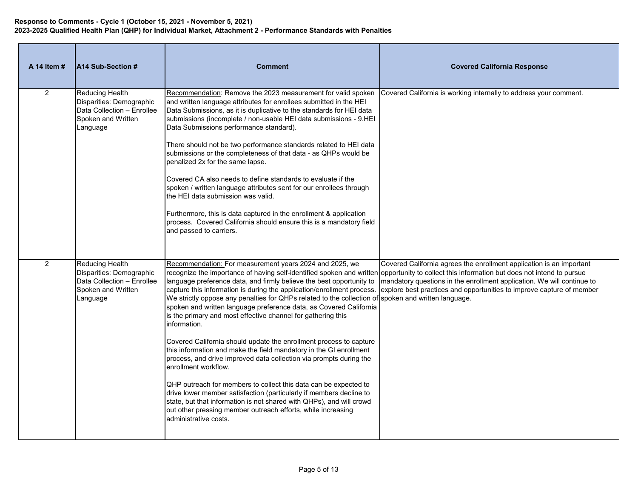| A 14 Item #    | A14 Sub-Section #                                                                                                  | <b>Comment</b>                                                                                                                                                                                                                                                                                                                                                                                                                                                                                                                                                         | <b>Covered California Response</b>                                                                                                                                                                                                                                                             |
|----------------|--------------------------------------------------------------------------------------------------------------------|------------------------------------------------------------------------------------------------------------------------------------------------------------------------------------------------------------------------------------------------------------------------------------------------------------------------------------------------------------------------------------------------------------------------------------------------------------------------------------------------------------------------------------------------------------------------|------------------------------------------------------------------------------------------------------------------------------------------------------------------------------------------------------------------------------------------------------------------------------------------------|
| 2              | Reducing Health<br>Disparities: Demographic<br>Data Collection - Enrollee<br>Spoken and Written<br>Language        | Recommendation: Remove the 2023 measurement for valid spoken<br>and written language attributes for enrollees submitted in the HEI<br>Data Submissions, as it is duplicative to the standards for HEI data<br>submissions (incomplete / non-usable HEI data submissions - 9.HEI<br>Data Submissions performance standard).<br>There should not be two performance standards related to HEI data<br>submissions or the completeness of that data - as QHPs would be<br>penalized 2x for the same lapse.<br>Covered CA also needs to define standards to evaluate if the | Covered California is working internally to address your comment.                                                                                                                                                                                                                              |
|                |                                                                                                                    | spoken / written language attributes sent for our enrollees through<br>the HEI data submission was valid.<br>Furthermore, this is data captured in the enrollment & application<br>process. Covered California should ensure this is a mandatory field<br>and passed to carriers.                                                                                                                                                                                                                                                                                      |                                                                                                                                                                                                                                                                                                |
| $\overline{2}$ | <b>Reducing Health</b><br>Disparities: Demographic<br>Data Collection - Enrollee<br>Spoken and Written<br>Language | Recommendation: For measurement years 2024 and 2025, we<br>recognize the importance of having self-identified spoken and written opportunity to collect this information but does not intend to pursue<br>language preference data, and firmly believe the best opportunity to<br>We strictly oppose any penalties for QHPs related to the collection of spoken and written language.<br>spoken and written language preference data, as Covered California<br>is the primary and most effective channel for gathering this<br>information.                            | Covered California agrees the enrollment application is an important<br>mandatory questions in the enrollment application. We will continue to<br>capture this information is during the application/enrollment process. explore best practices and opportunities to improve capture of member |
|                |                                                                                                                    | Covered California should update the enrollment process to capture<br>this information and make the field mandatory in the GI enrollment<br>process, and drive improved data collection via prompts during the<br>enrollment workflow.                                                                                                                                                                                                                                                                                                                                 |                                                                                                                                                                                                                                                                                                |
|                |                                                                                                                    | QHP outreach for members to collect this data can be expected to<br>drive lower member satisfaction (particularly if members decline to<br>state, but that information is not shared with QHPs), and will crowd<br>out other pressing member outreach efforts, while increasing<br>administrative costs.                                                                                                                                                                                                                                                               |                                                                                                                                                                                                                                                                                                |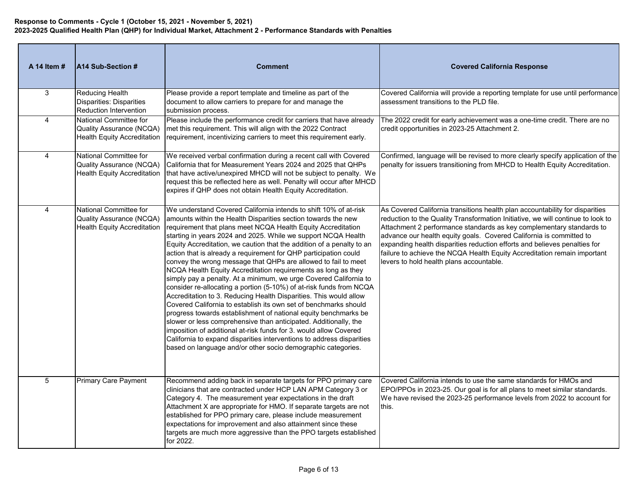| A 14 Item #    | A14 Sub-Section #                                                                               | <b>Comment</b>                                                                                                                                                                                                                                                                                                                                                                                                                                                                                                                                                                                                                                                                                                                                                                                                                                                                                                                                                                                                                                                                                                                                                                               | <b>Covered California Response</b>                                                                                                                                                                                                                                                                                                                                                                                                                                                                                  |
|----------------|-------------------------------------------------------------------------------------------------|----------------------------------------------------------------------------------------------------------------------------------------------------------------------------------------------------------------------------------------------------------------------------------------------------------------------------------------------------------------------------------------------------------------------------------------------------------------------------------------------------------------------------------------------------------------------------------------------------------------------------------------------------------------------------------------------------------------------------------------------------------------------------------------------------------------------------------------------------------------------------------------------------------------------------------------------------------------------------------------------------------------------------------------------------------------------------------------------------------------------------------------------------------------------------------------------|---------------------------------------------------------------------------------------------------------------------------------------------------------------------------------------------------------------------------------------------------------------------------------------------------------------------------------------------------------------------------------------------------------------------------------------------------------------------------------------------------------------------|
| 3              | Reducing Health<br><b>Disparities: Disparities</b><br><b>Reduction Intervention</b>             | Please provide a report template and timeline as part of the<br>document to allow carriers to prepare for and manage the<br>submission process.                                                                                                                                                                                                                                                                                                                                                                                                                                                                                                                                                                                                                                                                                                                                                                                                                                                                                                                                                                                                                                              | Covered California will provide a reporting template for use until performance<br>assessment transitions to the PLD file.                                                                                                                                                                                                                                                                                                                                                                                           |
| $\overline{4}$ | National Committee for<br>Quality Assurance (NCQA)<br><b>Health Equity Accreditation</b>        | Please include the performance credit for carriers that have already<br>met this requirement. This will align with the 2022 Contract<br>requirement, incentivizing carriers to meet this requirement early.                                                                                                                                                                                                                                                                                                                                                                                                                                                                                                                                                                                                                                                                                                                                                                                                                                                                                                                                                                                  | The 2022 credit for early achievement was a one-time credit. There are no<br>credit opportunities in 2023-25 Attachment 2.                                                                                                                                                                                                                                                                                                                                                                                          |
| $\overline{4}$ | National Committee for<br>Quality Assurance (NCQA)<br><b>Health Equity Accreditation</b>        | We received verbal confirmation during a recent call with Covered<br>California that for Measurement Years 2024 and 2025 that QHPs<br>that have active/unexpired MHCD will not be subject to penalty. We<br>request this be reflected here as well. Penalty will occur after MHCD<br>expires if QHP does not obtain Health Equity Accreditation.                                                                                                                                                                                                                                                                                                                                                                                                                                                                                                                                                                                                                                                                                                                                                                                                                                             | Confirmed, language will be revised to more clearly specify application of the<br>penalty for issuers transitioning from MHCD to Health Equity Accreditation.                                                                                                                                                                                                                                                                                                                                                       |
| 4              | <b>National Committee for</b><br>Quality Assurance (NCQA)<br><b>Health Equity Accreditation</b> | We understand Covered California intends to shift 10% of at-risk<br>amounts within the Health Disparities section towards the new<br>requirement that plans meet NCQA Health Equity Accreditation<br>starting in years 2024 and 2025. While we support NCQA Health<br>Equity Accreditation, we caution that the addition of a penalty to an<br>action that is already a requirement for QHP participation could<br>convey the wrong message that QHPs are allowed to fail to meet<br>NCQA Health Equity Accreditation requirements as long as they<br>simply pay a penalty. At a minimum, we urge Covered California to<br>consider re-allocating a portion (5-10%) of at-risk funds from NCQA<br>Accreditation to 3. Reducing Health Disparities. This would allow<br>Covered California to establish its own set of benchmarks should<br>progress towards establishment of national equity benchmarks be<br>slower or less comprehensive than anticipated. Additionally, the<br>imposition of additional at-risk funds for 3. would allow Covered<br>California to expand disparities interventions to address disparities<br>based on language and/or other socio demographic categories. | As Covered California transitions health plan accountability for disparities<br>reduction to the Quality Transformation Initiative, we will continue to look to<br>Attachment 2 performance standards as key complementary standards to<br>advance our health equity goals. Covered California is committed to<br>expanding health disparities reduction efforts and believes penalties for<br>failure to achieve the NCQA Health Equity Accreditation remain important<br>levers to hold health plans accountable. |
| 5              | <b>Primary Care Payment</b>                                                                     | Recommend adding back in separate targets for PPO primary care<br>clinicians that are contracted under HCP LAN APM Category 3 or<br>Category 4. The measurement year expectations in the draft<br>Attachment X are appropriate for HMO. If separate targets are not<br>established for PPO primary care, please include measurement<br>expectations for improvement and also attainment since these<br>targets are much more aggressive than the PPO targets established<br>for 2022.                                                                                                                                                                                                                                                                                                                                                                                                                                                                                                                                                                                                                                                                                                        | Covered California intends to use the same standards for HMOs and<br>EPO/PPOs in 2023-25. Our goal is for all plans to meet similar standards.<br>We have revised the 2023-25 performance levels from 2022 to account for<br>this.                                                                                                                                                                                                                                                                                  |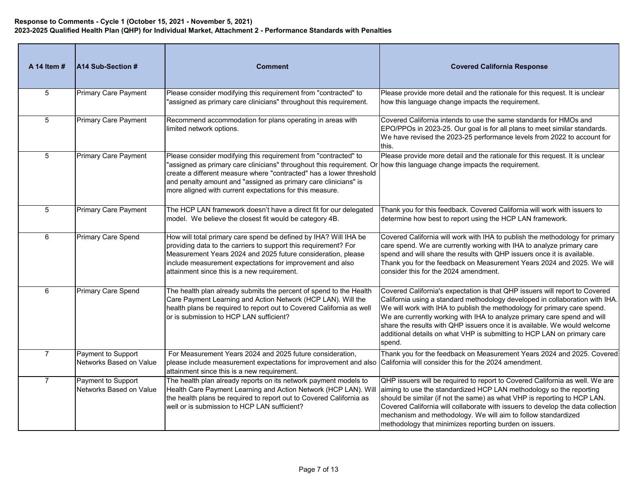| A 14 Item #    | A14 Sub-Section #                             | <b>Comment</b>                                                                                                                                                                                                                                                                                                                                                                                   | <b>Covered California Response</b>                                                                                                                                                                                                                                                                                                                                                                                                                                                    |
|----------------|-----------------------------------------------|--------------------------------------------------------------------------------------------------------------------------------------------------------------------------------------------------------------------------------------------------------------------------------------------------------------------------------------------------------------------------------------------------|---------------------------------------------------------------------------------------------------------------------------------------------------------------------------------------------------------------------------------------------------------------------------------------------------------------------------------------------------------------------------------------------------------------------------------------------------------------------------------------|
| 5              | <b>Primary Care Payment</b>                   | Please consider modifying this requirement from "contracted" to<br>"assigned as primary care clinicians" throughout this requirement.                                                                                                                                                                                                                                                            | Please provide more detail and the rationale for this request. It is unclear<br>how this language change impacts the requirement.                                                                                                                                                                                                                                                                                                                                                     |
| 5              | <b>Primary Care Payment</b>                   | Recommend accommodation for plans operating in areas with<br>limited network options.                                                                                                                                                                                                                                                                                                            | Covered California intends to use the same standards for HMOs and<br>EPO/PPOs in 2023-25. Our goal is for all plans to meet similar standards.<br>We have revised the 2023-25 performance levels from 2022 to account for<br>this.                                                                                                                                                                                                                                                    |
| 5              | <b>Primary Care Payment</b>                   | Please consider modifying this requirement from "contracted" to<br>"assigned as primary care clinicians" throughout this requirement. Or how this language change impacts the requirement.<br>create a different measure where "contracted" has a lower threshold<br>and penalty amount and "assigned as primary care clinicians" is<br>more aligned with current expectations for this measure. | Please provide more detail and the rationale for this request. It is unclear                                                                                                                                                                                                                                                                                                                                                                                                          |
| 5              | <b>Primary Care Payment</b>                   | The HCP LAN framework doesn't have a direct fit for our delegated<br>model. We believe the closest fit would be category 4B.                                                                                                                                                                                                                                                                     | Thank you for this feedback. Covered California will work with issuers to<br>determine how best to report using the HCP LAN framework.                                                                                                                                                                                                                                                                                                                                                |
| 6              | Primary Care Spend                            | How will total primary care spend be defined by IHA? Will IHA be<br>providing data to the carriers to support this requirement? For<br>Measurement Years 2024 and 2025 future consideration, please<br>include measurement expectations for improvement and also<br>attainment since this is a new requirement.                                                                                  | Covered California will work with IHA to publish the methodology for primary<br>care spend. We are currently working with IHA to analyze primary care<br>spend and will share the results with QHP issuers once it is available.<br>Thank you for the feedback on Measurement Years 2024 and 2025. We will<br>consider this for the 2024 amendment.                                                                                                                                   |
| 6              | Primary Care Spend                            | The health plan already submits the percent of spend to the Health<br>Care Payment Learning and Action Network (HCP LAN). Will the<br>health plans be required to report out to Covered California as well<br>or is submission to HCP LAN sufficient?                                                                                                                                            | Covered California's expectation is that QHP issuers will report to Covered<br>California using a standard methodology developed in collaboration with IHA.<br>We will work with IHA to publish the methodology for primary care spend.<br>We are currently working with IHA to analyze primary care spend and will<br>share the results with QHP issuers once it is available. We would welcome<br>additional details on what VHP is submitting to HCP LAN on primary care<br>spend. |
| $\overline{7}$ | Payment to Support<br>Networks Based on Value | For Measurement Years 2024 and 2025 future consideration,<br>please include measurement expectations for improvement and also California will consider this for the 2024 amendment.<br>attainment since this is a new requirement.                                                                                                                                                               | Thank you for the feedback on Measurement Years 2024 and 2025. Covered                                                                                                                                                                                                                                                                                                                                                                                                                |
| $\overline{7}$ | Payment to Support<br>Networks Based on Value | The health plan already reports on its network payment models to<br>Health Care Payment Learning and Action Network (HCP LAN). Will<br>the health plans be required to report out to Covered California as<br>well or is submission to HCP LAN sufficient?                                                                                                                                       | QHP issuers will be required to report to Covered California as well. We are<br>aiming to use the standardized HCP LAN methodology so the reporting<br>should be similar (if not the same) as what VHP is reporting to HCP LAN.<br>Covered California will collaborate with issuers to develop the data collection<br>mechanism and methodology. We will aim to follow standardized<br>methodology that minimizes reporting burden on issuers.                                        |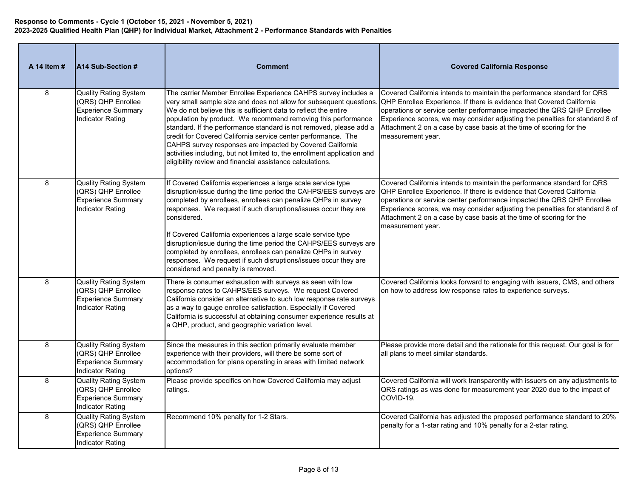| A 14 Item # | A14 Sub-Section #                                                                                          | <b>Comment</b>                                                                                                                                                                                                                                                                                                                                                                                                                                                                                                                                                                                                         | <b>Covered California Response</b>                                                                                                                                                                                                                                                                                                                                                                     |
|-------------|------------------------------------------------------------------------------------------------------------|------------------------------------------------------------------------------------------------------------------------------------------------------------------------------------------------------------------------------------------------------------------------------------------------------------------------------------------------------------------------------------------------------------------------------------------------------------------------------------------------------------------------------------------------------------------------------------------------------------------------|--------------------------------------------------------------------------------------------------------------------------------------------------------------------------------------------------------------------------------------------------------------------------------------------------------------------------------------------------------------------------------------------------------|
| 8           | <b>Quality Rating System</b><br>(QRS) QHP Enrollee<br><b>Experience Summary</b><br><b>Indicator Rating</b> | The carrier Member Enrollee Experience CAHPS survey includes a<br>very small sample size and does not allow for subsequent questions.<br>We do not believe this is sufficient data to reflect the entire<br>population by product. We recommend removing this performance<br>standard. If the performance standard is not removed, please add a<br>credit for Covered California service center performance. The<br>CAHPS survey responses are impacted by Covered California<br>activities including, but not limited to, the enrollment application and<br>eligibility review and financial assistance calculations. | Covered California intends to maintain the performance standard for QRS<br>QHP Enrollee Experience. If there is evidence that Covered California<br>operations or service center performance impacted the QRS QHP Enrollee<br>Experience scores, we may consider adjusting the penalties for standard 8 of<br>Attachment 2 on a case by case basis at the time of scoring for the<br>measurement year. |
| 8           | <b>Quality Rating System</b><br>(QRS) QHP Enrollee<br><b>Experience Summary</b><br><b>Indicator Rating</b> | If Covered California experiences a large scale service type<br>disruption/issue during the time period the CAHPS/EES surveys are<br>completed by enrollees, enrollees can penalize QHPs in survey<br>responses. We request if such disruptions/issues occur they are<br>considered.<br>If Covered California experiences a large scale service type<br>disruption/issue during the time period the CAHPS/EES surveys are<br>completed by enrollees, enrollees can penalize QHPs in survey<br>responses. We request if such disruptions/issues occur they are<br>considered and penalty is removed.                    | Covered California intends to maintain the performance standard for QRS<br>QHP Enrollee Experience. If there is evidence that Covered California<br>operations or service center performance impacted the QRS QHP Enrollee<br>Experience scores, we may consider adjusting the penalties for standard 8 of<br>Attachment 2 on a case by case basis at the time of scoring for the<br>measurement year. |
| 8           | <b>Quality Rating System</b><br>(QRS) QHP Enrollee<br><b>Experience Summary</b><br><b>Indicator Rating</b> | There is consumer exhaustion with surveys as seen with low<br>response rates to CAHPS/EES surveys. We request Covered<br>California consider an alternative to such low response rate surveys<br>as a way to gauge enrollee satisfaction. Especially if Covered<br>California is successful at obtaining consumer experience results at<br>a QHP, product, and geographic variation level.                                                                                                                                                                                                                             | Covered California looks forward to engaging with issuers, CMS, and others<br>on how to address low response rates to experience surveys.                                                                                                                                                                                                                                                              |
| 8           | <b>Quality Rating System</b><br>(QRS) QHP Enrollee<br><b>Experience Summary</b><br><b>Indicator Rating</b> | Since the measures in this section primarily evaluate member<br>experience with their providers, will there be some sort of<br>accommodation for plans operating in areas with limited network<br>options?                                                                                                                                                                                                                                                                                                                                                                                                             | Please provide more detail and the rationale for this request. Our goal is for<br>all plans to meet similar standards.                                                                                                                                                                                                                                                                                 |
| 8           | <b>Quality Rating System</b><br>(QRS) QHP Enrollee<br><b>Experience Summary</b><br><b>Indicator Rating</b> | Please provide specifics on how Covered California may adjust<br>ratings.                                                                                                                                                                                                                                                                                                                                                                                                                                                                                                                                              | Covered California will work transparently with issuers on any adjustments to<br>QRS ratings as was done for measurement year 2020 due to the impact of<br>COVID-19.                                                                                                                                                                                                                                   |
| 8           | <b>Quality Rating System</b><br>(QRS) QHP Enrollee<br><b>Experience Summary</b><br>Indicator Rating        | Recommend 10% penalty for 1-2 Stars.                                                                                                                                                                                                                                                                                                                                                                                                                                                                                                                                                                                   | Covered California has adjusted the proposed performance standard to 20%<br>penalty for a 1-star rating and 10% penalty for a 2-star rating.                                                                                                                                                                                                                                                           |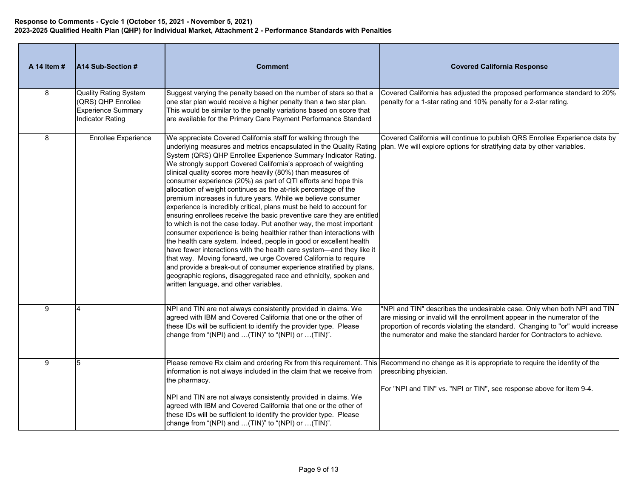| A 14 Item # | A14 Sub-Section #                                                                                          | <b>Comment</b>                                                                                                                                                                                                                                                                                                                                                                                                                                                                                                                                                                                                                                                                                                                                                                                                                                                                                                                                                                                                                                                                                                                                                                                                                                                                                                              | <b>Covered California Response</b>                                                                                                                                                                                                                                                                               |
|-------------|------------------------------------------------------------------------------------------------------------|-----------------------------------------------------------------------------------------------------------------------------------------------------------------------------------------------------------------------------------------------------------------------------------------------------------------------------------------------------------------------------------------------------------------------------------------------------------------------------------------------------------------------------------------------------------------------------------------------------------------------------------------------------------------------------------------------------------------------------------------------------------------------------------------------------------------------------------------------------------------------------------------------------------------------------------------------------------------------------------------------------------------------------------------------------------------------------------------------------------------------------------------------------------------------------------------------------------------------------------------------------------------------------------------------------------------------------|------------------------------------------------------------------------------------------------------------------------------------------------------------------------------------------------------------------------------------------------------------------------------------------------------------------|
| $\,8\,$     | <b>Quality Rating System</b><br>(QRS) QHP Enrollee<br><b>Experience Summary</b><br><b>Indicator Rating</b> | Suggest varying the penalty based on the number of stars so that a<br>one star plan would receive a higher penalty than a two star plan.<br>This would be similar to the penalty variations based on score that<br>are available for the Primary Care Payment Performance Standard                                                                                                                                                                                                                                                                                                                                                                                                                                                                                                                                                                                                                                                                                                                                                                                                                                                                                                                                                                                                                                          | Covered California has adjusted the proposed performance standard to 20%<br>penalty for a 1-star rating and 10% penalty for a 2-star rating.                                                                                                                                                                     |
| 8           | <b>Enrollee Experience</b>                                                                                 | We appreciate Covered California staff for walking through the<br>underlying measures and metrics encapsulated in the Quality Rating  plan. We will explore options for stratifying data by other variables.<br>System (QRS) QHP Enrollee Experience Summary Indicator Rating.<br>We strongly support Covered California's approach of weighting<br>clinical quality scores more heavily (80%) than measures of<br>consumer experience (20%) as part of QTI efforts and hope this<br>allocation of weight continues as the at-risk percentage of the<br>premium increases in future years. While we believe consumer<br>experience is incredibly critical, plans must be held to account for<br>ensuring enrollees receive the basic preventive care they are entitled<br>to which is not the case today. Put another way, the most important<br>consumer experience is being healthier rather than interactions with<br>the health care system. Indeed, people in good or excellent health<br>have fewer interactions with the health care system-and they like it<br>that way. Moving forward, we urge Covered California to require<br>and provide a break-out of consumer experience stratified by plans,<br>geographic regions, disaggregated race and ethnicity, spoken and<br>written language, and other variables. | Covered California will continue to publish QRS Enrollee Experience data by                                                                                                                                                                                                                                      |
| 9           | $\overline{4}$                                                                                             | NPI and TIN are not always consistently provided in claims. We<br>agreed with IBM and Covered California that one or the other of<br>these IDs will be sufficient to identify the provider type. Please<br>change from "(NPI) and (TIN)" to "(NPI) or (TIN)".                                                                                                                                                                                                                                                                                                                                                                                                                                                                                                                                                                                                                                                                                                                                                                                                                                                                                                                                                                                                                                                               | "NPI and TIN" describes the undesirable case. Only when both NPI and TIN<br>are missing or invalid will the enrollment appear in the numerator of the<br>proportion of records violating the standard. Changing to "or" would increase<br>the numerator and make the standard harder for Contractors to achieve. |
| 9           | 5                                                                                                          | information is not always included in the claim that we receive from<br>the pharmacy.<br>NPI and TIN are not always consistently provided in claims. We<br>agreed with IBM and Covered California that one or the other of<br>these IDs will be sufficient to identify the provider type. Please<br>change from "(NPI) and (TIN)" to "(NPI) or (TIN)".                                                                                                                                                                                                                                                                                                                                                                                                                                                                                                                                                                                                                                                                                                                                                                                                                                                                                                                                                                      | Please remove Rx claim and ordering Rx from this requirement. This Recommend no change as it is appropriate to require the identity of the<br>prescribing physician.<br>For "NPI and TIN" vs. "NPI or TIN", see response above for item 9-4.                                                                     |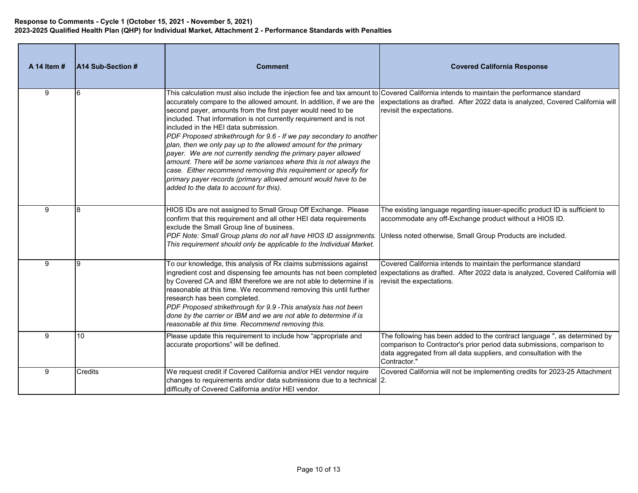| A 14 Item # | A14 Sub-Section # | <b>Comment</b>                                                                                                                                                                                                                                                                                                                                                                                                                                                                                                                                                                                                                                                                                                                                                                                                                                                      | <b>Covered California Response</b>                                                                                                                                                                                                              |
|-------------|-------------------|---------------------------------------------------------------------------------------------------------------------------------------------------------------------------------------------------------------------------------------------------------------------------------------------------------------------------------------------------------------------------------------------------------------------------------------------------------------------------------------------------------------------------------------------------------------------------------------------------------------------------------------------------------------------------------------------------------------------------------------------------------------------------------------------------------------------------------------------------------------------|-------------------------------------------------------------------------------------------------------------------------------------------------------------------------------------------------------------------------------------------------|
| 9           |                   | This calculation must also include the injection fee and tax amount to $\vert$ Covered California intends to maintain the performance standard<br>accurately compare to the allowed amount. In addition, if we are the<br>second payer, amounts from the first payer would need to be<br>included. That information is not currently requirement and is not<br>included in the HEI data submission.<br>PDF Proposed strikethrough for 9.6 - If we pay secondary to another<br>plan, then we only pay up to the allowed amount for the primary<br>payer. We are not currently sending the primary payer allowed<br>amount. There will be some variances where this is not always the<br>case. Either recommend removing this requirement or specify for<br>primary payer records (primary allowed amount would have to be<br>added to the data to account for this). | expectations as drafted. After 2022 data is analyzed, Covered California will<br>revisit the expectations.                                                                                                                                      |
| 9           |                   | HIOS IDs are not assigned to Small Group Off Exchange. Please<br>confirm that this requirement and all other HEI data requirements<br>exclude the Small Group line of business.<br>PDF Note: Small Group plans do not all have HIOS ID assignments.<br>This requirement should only be applicable to the Individual Market.                                                                                                                                                                                                                                                                                                                                                                                                                                                                                                                                         | The existing language regarding issuer-specific product ID is sufficient to<br>accommodate any off-Exchange product without a HIOS ID.<br>Unless noted otherwise, Small Group Products are included.                                            |
| 9           |                   | To our knowledge, this analysis of Rx claims submissions against<br>by Covered CA and IBM therefore we are not able to determine if is<br>reasonable at this time. We recommend removing this until further<br>research has been completed.<br>PDF Proposed strikethrough for 9.9 - This analysis has not been<br>done by the carrier or IBM and we are not able to determine if is<br>reasonable at this time. Recommend removing this.                                                                                                                                                                                                                                                                                                                                                                                                                            | Covered California intends to maintain the performance standard<br>ingredient cost and dispensing fee amounts has not been completed expectations as drafted. After 2022 data is analyzed, Covered California will<br>revisit the expectations. |
| 9           | 10                | Please update this requirement to include how "appropriate and<br>accurate proportions" will be defined.                                                                                                                                                                                                                                                                                                                                                                                                                                                                                                                                                                                                                                                                                                                                                            | The following has been added to the contract language ", as determined by<br>comparison to Contractor's prior period data submissions, comparison to<br>data aggregated from all data suppliers, and consultation with the<br>Contractor."      |
| 9           | Credits           | We request credit if Covered California and/or HEI vendor require<br>changes to requirements and/or data submissions due to a technical 2.<br>difficulty of Covered California and/or HEI vendor.                                                                                                                                                                                                                                                                                                                                                                                                                                                                                                                                                                                                                                                                   | Covered California will not be implementing credits for 2023-25 Attachment                                                                                                                                                                      |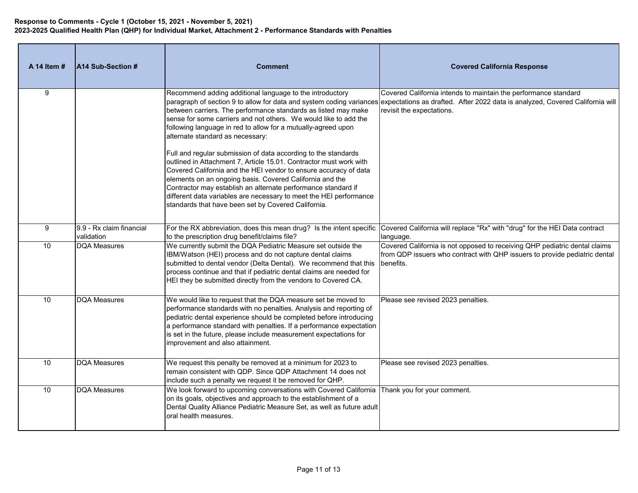| A 14 Item #     | A14 Sub-Section #                      | <b>Comment</b>                                                                                                                                                                                                                                                                                                                                                                                                                                                     | <b>Covered California Response</b>                                                                                                                                                                                                                 |
|-----------------|----------------------------------------|--------------------------------------------------------------------------------------------------------------------------------------------------------------------------------------------------------------------------------------------------------------------------------------------------------------------------------------------------------------------------------------------------------------------------------------------------------------------|----------------------------------------------------------------------------------------------------------------------------------------------------------------------------------------------------------------------------------------------------|
| 9               |                                        | Recommend adding additional language to the introductory<br>between carriers. The performance standards as listed may make<br>sense for some carriers and not others. We would like to add the<br>following language in red to allow for a mutually-agreed upon<br>alternate standard as necessary:                                                                                                                                                                | Covered California intends to maintain the performance standard<br>paragraph of section 9 to allow for data and system coding variances expectations as drafted. After 2022 data is analyzed, Covered California will<br>revisit the expectations. |
|                 |                                        | Full and regular submission of data according to the standards<br>outlined in Attachment 7, Article 15.01. Contractor must work with<br>Covered California and the HEI vendor to ensure accuracy of data<br>elements on an ongoing basis. Covered California and the<br>Contractor may establish an alternate performance standard if<br>different data variables are necessary to meet the HEI performance<br>standards that have been set by Covered California. |                                                                                                                                                                                                                                                    |
| 9               | 9.9 - Rx claim financial<br>validation | For the RX abbreviation, does this mean drug? Is the intent specific<br>to the prescription drug benefit/claims file?                                                                                                                                                                                                                                                                                                                                              | Covered California will replace "Rx" with "drug" for the HEI Data contract<br>language.                                                                                                                                                            |
| 10              | <b>DQA Measures</b>                    | We currently submit the DQA Pediatric Measure set outside the<br>IBM/Watson (HEI) process and do not capture dental claims<br>submitted to dental vendor (Delta Dental). We recommend that this<br>process continue and that if pediatric dental claims are needed for<br>HEI they be submitted directly from the vendors to Covered CA.                                                                                                                           | Covered California is not opposed to receiving QHP pediatric dental claims<br>from QDP issuers who contract with QHP issuers to provide pediatric dental<br>benefits.                                                                              |
| 10              | <b>DQA Measures</b>                    | We would like to request that the DQA measure set be moved to<br>performance standards with no penalties. Analysis and reporting of<br>pediatric dental experience should be completed before introducing<br>a performance standard with penalties. If a performance expectation<br>is set in the future, please include measurement expectations for<br>improvement and also attainment.                                                                          | Please see revised 2023 penalties.                                                                                                                                                                                                                 |
| 10 <sup>1</sup> | <b>DQA Measures</b>                    | We request this penalty be removed at a minimum for 2023 to<br>remain consistent with QDP. Since QDP Attachment 14 does not<br>include such a penalty we request it be removed for QHP.                                                                                                                                                                                                                                                                            | Please see revised 2023 penalties.                                                                                                                                                                                                                 |
| 10 <sup>1</sup> | <b>DQA Measures</b>                    | We look forward to upcoming conversations with Covered California Thank you for your comment.<br>on its goals, objectives and approach to the establishment of a<br>Dental Quality Alliance Pediatric Measure Set, as well as future adult<br>oral health measures.                                                                                                                                                                                                |                                                                                                                                                                                                                                                    |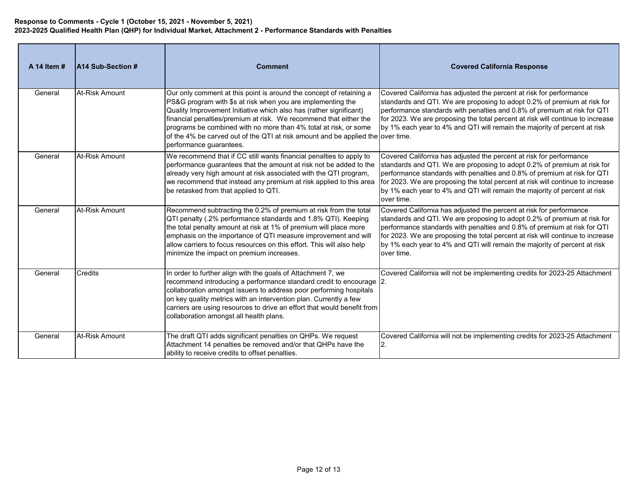| A 14 Item # | A14 Sub-Section #     | <b>Comment</b>                                                                                                                                                                                                                                                                                                                                                                                                                                                  | <b>Covered California Response</b>                                                                                                                                                                                                                                                                                                                                                                       |
|-------------|-----------------------|-----------------------------------------------------------------------------------------------------------------------------------------------------------------------------------------------------------------------------------------------------------------------------------------------------------------------------------------------------------------------------------------------------------------------------------------------------------------|----------------------------------------------------------------------------------------------------------------------------------------------------------------------------------------------------------------------------------------------------------------------------------------------------------------------------------------------------------------------------------------------------------|
| General     | At-Risk Amount        | Our only comment at this point is around the concept of retaining a<br>PS&G program with \$s at risk when you are implementing the<br>Quality Improvement Initiative which also has (rather significant)<br>financial penalties/premium at risk. We recommend that either the<br>programs be combined with no more than 4% total at risk, or some<br>of the 4% be carved out of the QTI at risk amount and be applied the over time.<br>performance quarantees. | Covered California has adjusted the percent at risk for performance<br>standards and QTI. We are proposing to adopt 0.2% of premium at risk for<br>performance standards with penalties and 0.8% of premium at risk for QTI<br>for 2023. We are proposing the total percent at risk will continue to increase<br>by 1% each year to 4% and QTI will remain the majority of percent at risk               |
| General     | At-Risk Amount        | We recommend that if CC still wants financial penalties to apply to<br>performance guarantees that the amount at risk not be added to the<br>already very high amount at risk associated with the QTI program,<br>we recommend that instead any premium at risk applied to this area<br>be retasked from that applied to QTI.                                                                                                                                   | Covered California has adjusted the percent at risk for performance<br>standards and QTI. We are proposing to adopt 0.2% of premium at risk for<br>performance standards with penalties and 0.8% of premium at risk for QTI<br>for 2023. We are proposing the total percent at risk will continue to increase<br>by 1% each year to 4% and QTI will remain the majority of percent at risk<br>over time. |
| General     | At-Risk Amount        | Recommend subtracting the 0.2% of premium at risk from the total<br>QTI penalty (.2% performance standards and 1.8% QTI). Keeping<br>the total penalty amount at risk at 1% of premium will place more<br>emphasis on the importance of QTI measure improvement and will<br>allow carriers to focus resources on this effort. This will also help<br>minimize the impact on premium increases.                                                                  | Covered California has adjusted the percent at risk for performance<br>standards and QTI. We are proposing to adopt 0.2% of premium at risk for<br>performance standards with penalties and 0.8% of premium at risk for QTI<br>for 2023. We are proposing the total percent at risk will continue to increase<br>by 1% each year to 4% and QTI will remain the majority of percent at risk<br>over time. |
| General     | Credits               | In order to further align with the goals of Attachment 7, we<br>recommend introducing a performance standard credit to encourage 2.<br>collaboration amongst issuers to address poor performing hospitals<br>on key quality metrics with an intervention plan. Currently a few<br>carriers are using resources to drive an effort that would benefit from<br>collaboration amongst all health plans.                                                            | Covered California will not be implementing credits for 2023-25 Attachment                                                                                                                                                                                                                                                                                                                               |
| General     | <b>At-Risk Amount</b> | The draft QTI adds significant penalties on QHPs. We request<br>Attachment 14 penalties be removed and/or that QHPs have the<br>ability to receive credits to offset penalties.                                                                                                                                                                                                                                                                                 | Covered California will not be implementing credits for 2023-25 Attachment<br>2.                                                                                                                                                                                                                                                                                                                         |